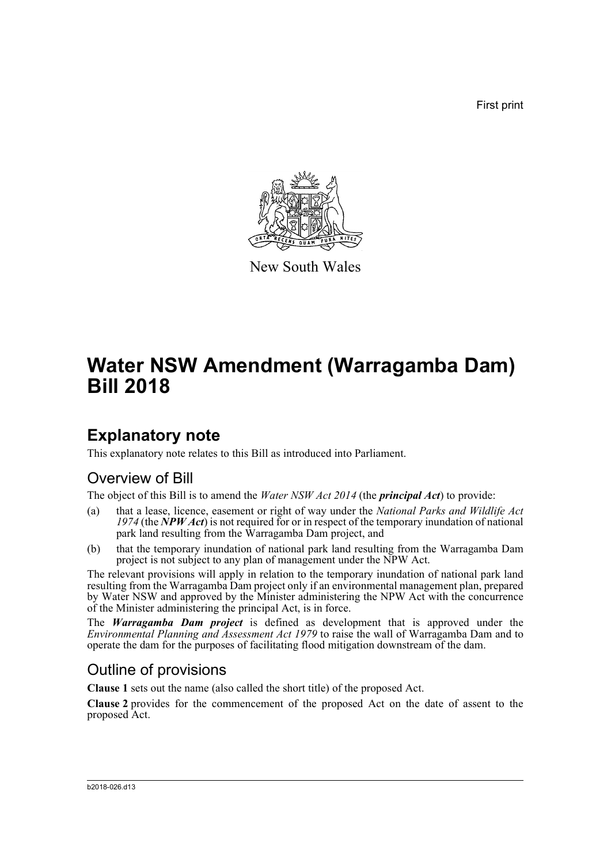First print



New South Wales

# **Water NSW Amendment (Warragamba Dam) Bill 2018**

### **Explanatory note**

This explanatory note relates to this Bill as introduced into Parliament.

### Overview of Bill

The object of this Bill is to amend the *Water NSW Act 2014* (the *principal Act*) to provide:

- (a) that a lease, licence, easement or right of way under the *National Parks and Wildlife Act 1974* (the *NPW Act*) is not required for or in respect of the temporary inundation of national park land resulting from the Warragamba Dam project, and
- (b) that the temporary inundation of national park land resulting from the Warragamba Dam project is not subject to any plan of management under the NPW Act.

The relevant provisions will apply in relation to the temporary inundation of national park land resulting from the Warragamba Dam project only if an environmental management plan, prepared by Water NSW and approved by the Minister administering the NPW Act with the concurrence of the Minister administering the principal Act, is in force.

The *Warragamba Dam project* is defined as development that is approved under the *Environmental Planning and Assessment Act 1979* to raise the wall of Warragamba Dam and to operate the dam for the purposes of facilitating flood mitigation downstream of the dam.

### Outline of provisions

**Clause 1** sets out the name (also called the short title) of the proposed Act.

**Clause 2** provides for the commencement of the proposed Act on the date of assent to the proposed Act.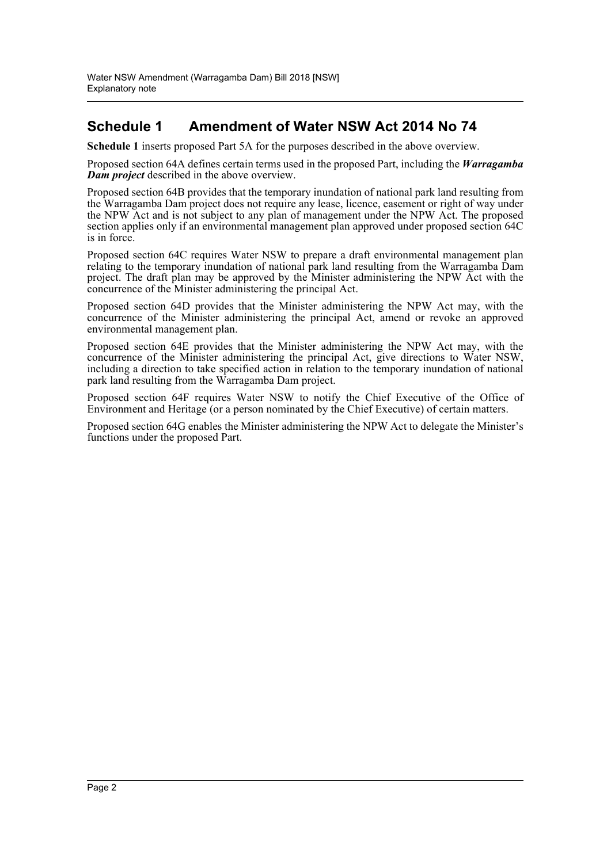#### **Schedule 1 Amendment of Water NSW Act 2014 No 74**

**Schedule 1** inserts proposed Part 5A for the purposes described in the above overview.

Proposed section 64A defines certain terms used in the proposed Part, including the *Warragamba Dam project* described in the above overview.

Proposed section 64B provides that the temporary inundation of national park land resulting from the Warragamba Dam project does not require any lease, licence, easement or right of way under the NPW Act and is not subject to any plan of management under the NPW Act. The proposed section applies only if an environmental management plan approved under proposed section 64C is in force.

Proposed section 64C requires Water NSW to prepare a draft environmental management plan relating to the temporary inundation of national park land resulting from the Warragamba Dam project. The draft plan may be approved by the Minister administering the NPW Act with the concurrence of the Minister administering the principal Act.

Proposed section 64D provides that the Minister administering the NPW Act may, with the concurrence of the Minister administering the principal Act, amend or revoke an approved environmental management plan.

Proposed section 64E provides that the Minister administering the NPW Act may, with the concurrence of the Minister administering the principal Act, give directions to Water NSW, including a direction to take specified action in relation to the temporary inundation of national park land resulting from the Warragamba Dam project.

Proposed section 64F requires Water NSW to notify the Chief Executive of the Office of Environment and Heritage (or a person nominated by the Chief Executive) of certain matters.

Proposed section 64G enables the Minister administering the NPW Act to delegate the Minister's functions under the proposed Part.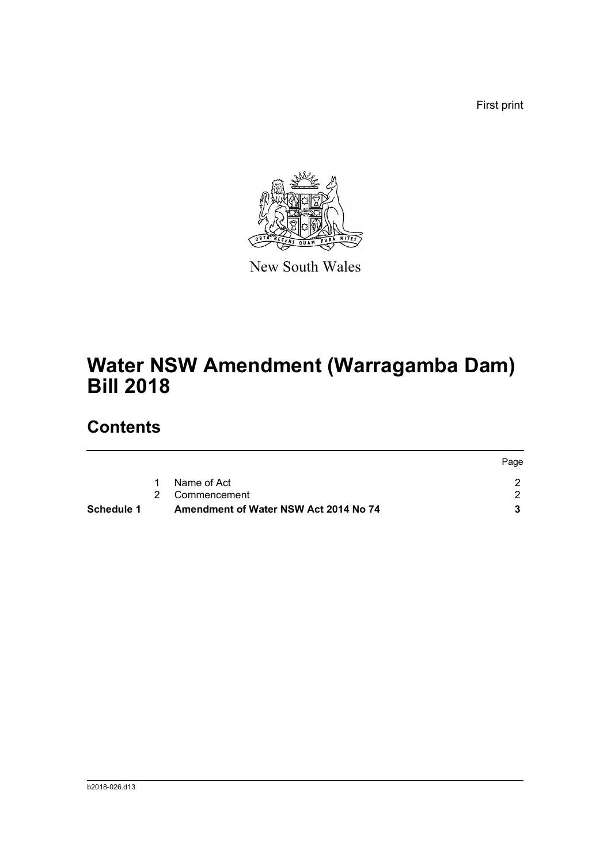First print



New South Wales

# **Water NSW Amendment (Warragamba Dam) Bill 2018**

## **Contents**

| Schedule 1 | Amendment of Water NSW Act 2014 No 74 |                |      |
|------------|---------------------------------------|----------------|------|
|            |                                       | 2 Commencement |      |
|            |                                       | Name of Act    |      |
|            |                                       |                | Page |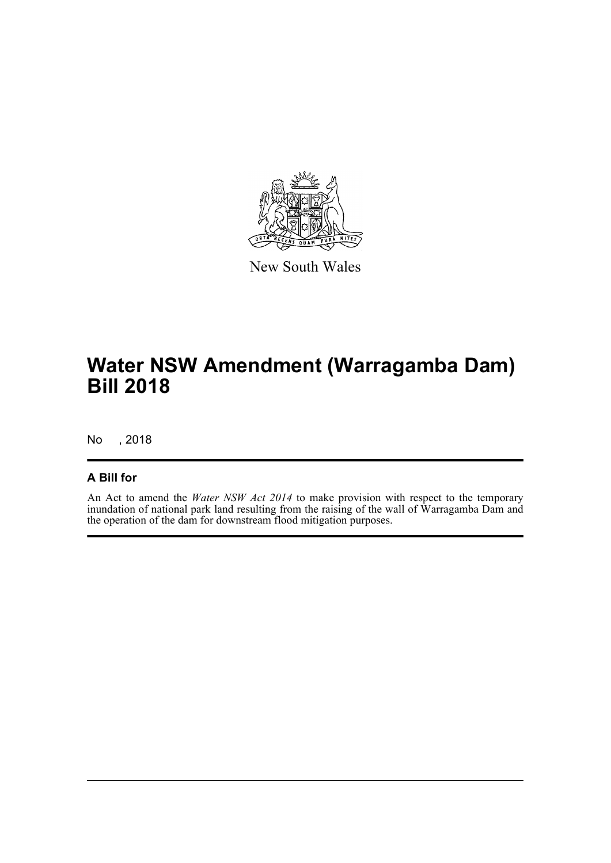

New South Wales

# **Water NSW Amendment (Warragamba Dam) Bill 2018**

No , 2018

#### **A Bill for**

An Act to amend the *Water NSW Act 2014* to make provision with respect to the temporary inundation of national park land resulting from the raising of the wall of Warragamba Dam and the operation of the dam for downstream flood mitigation purposes.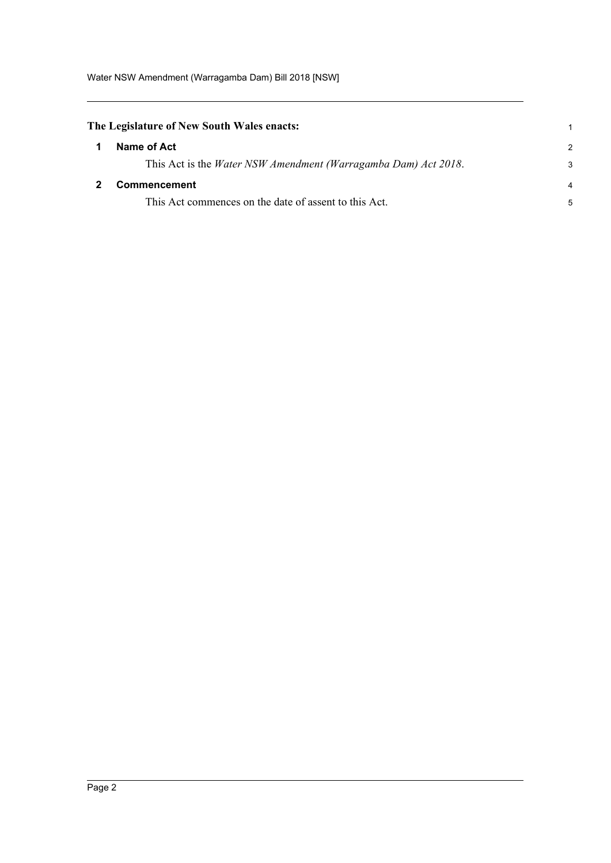<span id="page-4-1"></span><span id="page-4-0"></span>

| The Legislature of New South Wales enacts: |                                                                        |               |
|--------------------------------------------|------------------------------------------------------------------------|---------------|
|                                            | Name of Act                                                            | $\mathcal{P}$ |
|                                            | This Act is the <i>Water NSW Amendment (Warragamba Dam) Act 2018</i> . | 3             |
|                                            | <b>Commencement</b>                                                    | 4             |
|                                            | This Act commences on the date of assent to this Act.                  | 5             |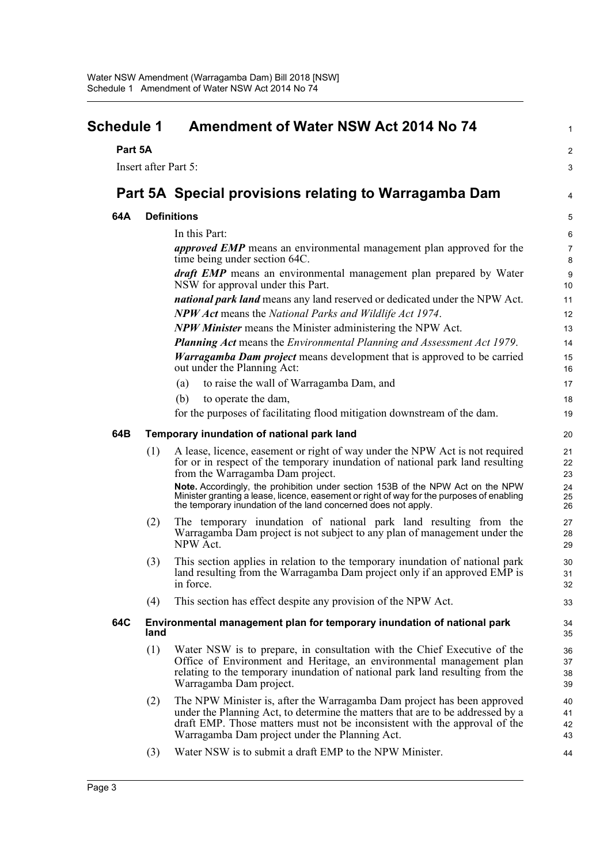<span id="page-5-0"></span>

| <b>Schedule 1</b> |                      | Amendment of Water NSW Act 2014 No 74                                                                                                                                                                                                                                                     |                      |
|-------------------|----------------------|-------------------------------------------------------------------------------------------------------------------------------------------------------------------------------------------------------------------------------------------------------------------------------------------|----------------------|
| Part 5A           |                      |                                                                                                                                                                                                                                                                                           | $\overline{c}$       |
|                   | Insert after Part 5: |                                                                                                                                                                                                                                                                                           | 3                    |
|                   |                      | Part 5A Special provisions relating to Warragamba Dam                                                                                                                                                                                                                                     | 4                    |
|                   |                      |                                                                                                                                                                                                                                                                                           |                      |
| 64A               |                      | <b>Definitions</b>                                                                                                                                                                                                                                                                        | 5                    |
|                   |                      | In this Part:                                                                                                                                                                                                                                                                             | 6                    |
|                   |                      | <i>approved EMP</i> means an environmental management plan approved for the<br>time being under section 64C.                                                                                                                                                                              | $\overline{7}$<br>8  |
|                   |                      | <i>draft EMP</i> means an environmental management plan prepared by Water<br>NSW for approval under this Part.                                                                                                                                                                            | 9<br>10 <sup>1</sup> |
|                   |                      | <i>national park land</i> means any land reserved or dedicated under the NPW Act.                                                                                                                                                                                                         | 11                   |
|                   |                      | <b>NPW Act</b> means the National Parks and Wildlife Act 1974.                                                                                                                                                                                                                            | 12                   |
|                   |                      | <b>NPW Minister</b> means the Minister administering the NPW Act.                                                                                                                                                                                                                         | 13                   |
|                   |                      | <b>Planning Act</b> means the Environmental Planning and Assessment Act 1979.                                                                                                                                                                                                             | 14                   |
|                   |                      | <b>Warragamba Dam project</b> means development that is approved to be carried<br>out under the Planning Act:                                                                                                                                                                             | 15<br>16             |
|                   |                      | to raise the wall of Warragamba Dam, and<br>(a)                                                                                                                                                                                                                                           | 17                   |
|                   |                      | (b)<br>to operate the dam,                                                                                                                                                                                                                                                                | 18                   |
|                   |                      | for the purposes of facilitating flood mitigation downstream of the dam.                                                                                                                                                                                                                  | 19                   |
| 64B               |                      | Temporary inundation of national park land                                                                                                                                                                                                                                                | 20                   |
|                   | (1)                  | A lease, licence, easement or right of way under the NPW Act is not required<br>for or in respect of the temporary inundation of national park land resulting<br>from the Warragamba Dam project.                                                                                         | 21<br>22<br>23       |
|                   |                      | Note. Accordingly, the prohibition under section 153B of the NPW Act on the NPW<br>Minister granting a lease, licence, easement or right of way for the purposes of enabling<br>the temporary inundation of the land concerned does not apply.                                            | 24<br>25<br>26       |
|                   | (2)                  | The temporary inundation of national park land resulting from the<br>Warragamba Dam project is not subject to any plan of management under the<br>NPW Act.                                                                                                                                | 27<br>28<br>29       |
|                   | (3)                  | This section applies in relation to the temporary inundation of national park<br>land resulting from the Warragamba Dam project only if an approved EMP is<br>in force.                                                                                                                   | 30<br>31<br>32       |
|                   | (4)                  | This section has effect despite any provision of the NPW Act.                                                                                                                                                                                                                             | 33                   |
| 64C               | land                 | Environmental management plan for temporary inundation of national park                                                                                                                                                                                                                   | 34<br>35             |
|                   | (1)                  | Water NSW is to prepare, in consultation with the Chief Executive of the<br>Office of Environment and Heritage, an environmental management plan<br>relating to the temporary inundation of national park land resulting from the<br>Warragamba Dam project.                              | 36<br>37<br>38<br>39 |
|                   | (2)                  | The NPW Minister is, after the Warragamba Dam project has been approved<br>under the Planning Act, to determine the matters that are to be addressed by a<br>draft EMP. Those matters must not be inconsistent with the approval of the<br>Warragamba Dam project under the Planning Act. | 40<br>41<br>42<br>43 |
|                   | (3)                  | Water NSW is to submit a draft EMP to the NPW Minister.                                                                                                                                                                                                                                   | 44                   |